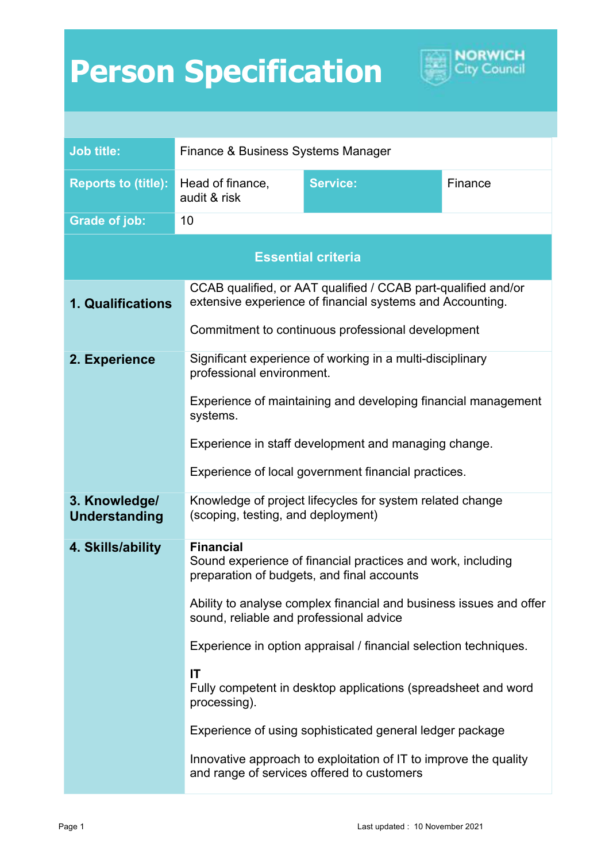## **Person Specification**



| <b>Job title:</b>                     | Finance & Business Systems Manager                                                                                                                                                                                                                                                 |                                                               |         |
|---------------------------------------|------------------------------------------------------------------------------------------------------------------------------------------------------------------------------------------------------------------------------------------------------------------------------------|---------------------------------------------------------------|---------|
|                                       |                                                                                                                                                                                                                                                                                    |                                                               |         |
| <b>Reports to (title):</b>            | Head of finance,<br>audit & risk                                                                                                                                                                                                                                                   | <b>Service:</b>                                               | Finance |
| <b>Grade of job:</b>                  | 10                                                                                                                                                                                                                                                                                 |                                                               |         |
| <b>Essential criteria</b>             |                                                                                                                                                                                                                                                                                    |                                                               |         |
| <b>1. Qualifications</b>              | CCAB qualified, or AAT qualified / CCAB part-qualified and/or<br>extensive experience of financial systems and Accounting.<br>Commitment to continuous professional development                                                                                                    |                                                               |         |
|                                       |                                                                                                                                                                                                                                                                                    |                                                               |         |
| 2. Experience                         | Significant experience of working in a multi-disciplinary<br>professional environment.<br>Experience of maintaining and developing financial management<br>systems.<br>Experience in staff development and managing change.<br>Experience of local government financial practices. |                                                               |         |
|                                       |                                                                                                                                                                                                                                                                                    |                                                               |         |
|                                       |                                                                                                                                                                                                                                                                                    |                                                               |         |
|                                       |                                                                                                                                                                                                                                                                                    |                                                               |         |
| 3. Knowledge/<br><b>Understanding</b> | Knowledge of project lifecycles for system related change<br>(scoping, testing, and deployment)                                                                                                                                                                                    |                                                               |         |
| 4. Skills/ability                     | <b>Financial</b><br>Sound experience of financial practices and work, including<br>preparation of budgets, and final accounts                                                                                                                                                      |                                                               |         |
|                                       | Ability to analyse complex financial and business issues and offer<br>sound, reliable and professional advice                                                                                                                                                                      |                                                               |         |
|                                       | Experience in option appraisal / financial selection techniques.                                                                                                                                                                                                                   |                                                               |         |
|                                       | IT<br>processing).                                                                                                                                                                                                                                                                 | Fully competent in desktop applications (spreadsheet and word |         |
|                                       | Experience of using sophisticated general ledger package<br>Innovative approach to exploitation of IT to improve the quality<br>and range of services offered to customers                                                                                                         |                                                               |         |
|                                       |                                                                                                                                                                                                                                                                                    |                                                               |         |